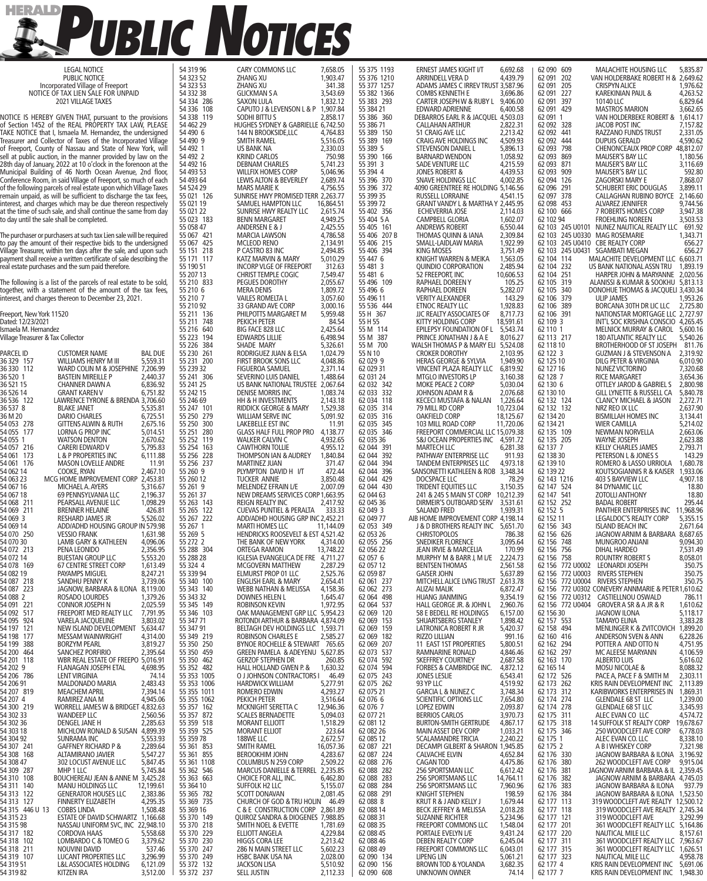

| <b>LEGAL NOTICE</b><br>PUBLIC NOTICE                                                                                                   | 54 319 96<br>54 323 52     | <b>CARY COMMONS LLC</b><br>ZHANG XU                                   | 7,658.05<br>1,903.47  | 55 375 1193<br>55 376 1210 | <b>ERNEST JAMES KIGHT I/T</b><br>ARRINDELL VERA D                        | 6,692.68<br>4,439.79   | 62 090 609<br>62 091 202 | <b>MALACHITE HOUSING LLC</b><br>VAN HOLDERBAKE ROBERT H & 2,649.62                         | 5,835.87             |
|----------------------------------------------------------------------------------------------------------------------------------------|----------------------------|-----------------------------------------------------------------------|-----------------------|----------------------------|--------------------------------------------------------------------------|------------------------|--------------------------|--------------------------------------------------------------------------------------------|----------------------|
| Incorporated Village of Freeport                                                                                                       | 54 323 53                  | ZHANG XU                                                              | 341.38                | 55 377 1257                | ADAMS JAMES C IRREV TRUST 3,587.96                                       |                        | 62 091 205               | <b>CRISPYN ALICE</b>                                                                       | 1,976.62             |
| NOTICE OF TAX LIEN SALE FOR UNPAID<br><b>2021 VILLAGE TAXES</b>                                                                        | 54 332 38<br>54 334 286    | <b>GLICKMAN S A</b><br>SAXON LULA                                     | 3,543.69<br>1,832.12  | 55 382 1366<br>55 383 293  | <b>COMBS KENNETH E</b><br>CARTER JOSEPH W & RUBY L 9,406.00              | 3,696.86               | 62 091 227<br>62 091 397 | KAREKINIAN PAUL &<br>10140 LLC                                                             | 4,263.52<br>6,829.64 |
|                                                                                                                                        | 54 336 108                 | CAPUTO J & LEVENSON L & P 1,907.84                                    |                       | 55 384 21                  | <b>EDWARD ADRIENNE</b>                                                   | 6,400.58               | 62 091 429               | <b>MASTROS MARION</b>                                                                      | 3,662.65             |
| NOTICE IS HEREBY GIVEN THAT, pursuant to the provisions<br>of Section 1452 of the REAL PROPERTY TAX LAW, PLEASE                        | 54 338 119<br>54 462 29    | SODHI BITTU S<br>HUGHES SYDNEY & GABRIELLE 6,742.50                   | 2,858.17              | 55 386 360<br>55 386 71    | DEBARROS EARL R & JACQUEL 4,503.03<br><b>CALLAHAN ARTHUR</b>             | 2,822.31               | 62 091 1<br>62 092 328   | VAN HOLDERBEKE ROBERT & 1,614.17<br>JACOB POST INC                                         | 7,157.82             |
| TAKE NOTICE that I, Ismaela M. Hernandez, the undersigned                                                                              | 54 490 6<br>54 490 9       | 144 N BROOKSIDE,LLC                                                   | 4,764.83<br>5,516.05  | 55 389 150<br>55 389 169   | 51 CRAIG AVE LLC                                                         | 2,213.42<br>4,509.93   | 62 092 441               | <b>RAZZANO FUNDS TRUST</b>                                                                 | 2,331.05<br>4,590.62 |
| Treasurer and Collector of Taxes of the Incorporated Village<br>of Freeport, County of Nassau and State of New York, will              | 54 492 1                   | <b>SMITH RAMEL</b><br>US BANK NA                                      | 2,330.03              | 55 389 5                   | CRAIG AVE HOLDINGS INC<br>STEVENSON DANIEL L                             | 5,896.13               | 62 092 444<br>62 093 798 | <b>DUPUIS GERALD</b><br>CHENONCEAUX PROP CORP 48,812.07                                    |                      |
| sell at public auction, in the manner provided by law on the<br>28th day of January, 2022 at 10 o'clock in the forenoon at the         | 54 492 2<br>54 492 16      | <b>KRIND CARLOS</b><br><b>DEBNAM CHARLES</b>                          | 750.98<br>5,741.23    | 55 390 166<br>55 391 3     | <b>BARNARD WENDON</b><br>SADE VENTURE LLC                                | 1,058.92<br>4,215.59   | 62 093 869<br>62 093 871 | MAUSER'S BAY LLC<br><b>MAUSER'S BAY LLC</b>                                                | 1,180.56<br>3,116.69 |
| Municipal Building of 46 North Ocean Avenue, 2nd floor,                                                                                | 54 493 53                  | <b>WILLFIX HOMES CORP</b>                                             | 5,046.96              | 55 394 4                   | <b>JONES ROBERT &amp;</b>                                                | 4,439.53               | 62 093 909               | MAUSER'S BAY LLC                                                                           | 592.80               |
| Conference Room, in said Village of Freeport, so much of each<br>of the following parcels of real estate upon which Village Taxes      | 54 493 64<br>54 524 29     | LEWIS ALTON & BEVERLEY<br><b>MARS MARIE K</b>                         | 2,689.74<br>4,756.55  | 55 396 370<br>55 396 372   | SNAVE HOLDINGS LLC<br>4090 GREENTREE RE HOLDING 5,146.56                 | 4,002.85               | 62 094 126<br>62 096 291 | ZAGORSKI MARY E<br>SCHUBERT ERIC DOUGLAS                                                   | 7,868.07<br>3,899.11 |
| remain unpaid, as will be sufficient to discharge the tax fees,                                                                        | 55 021 126                 | SUNRISE HWY PROMISED TERR 2,263.77                                    |                       | 55 399 35                  | <b>RUSSELL LORRAINE</b>                                                  | 4,541.15               | 62 097 378               | CALLAGHAN RUBINO BOYCE 2,146.60                                                            |                      |
| interest, and charges which may be due thereon respectively<br>at the time of such sale, and shall continue the same from day          | 55 021 19<br>55 021 22     | SAMUEL HAMPTON LLC<br>SUNRISE HWY REALTY LLC                          | 16,864.51<br>2,615.74 | 55 399 72<br>55 402 356    | GRANT VANDY L & MARTHA Y 2,445.95<br>ECHEVERRIA JOSE                     | 2,114.03               | 62 098 453<br>62 100 666 | <b>ALVAREZ JENNIFER</b><br>7 ROBERTS HOMES CORP                                            | 9,744.56<br>3,947.38 |
| to day until the sale shall be completed.                                                                                              | 55 023 183                 | <b>BENN MARGARET</b>                                                  | 4,949.25              | 55 404 5 A                 | <b>CAMPBELL GLORIA</b>                                                   | 1,602.07               | 62 102 94                | <b>FROEHLING NOREEN</b>                                                                    | 3,503.53             |
| The purchaser or purchasers at such tax Lien sale will be required                                                                     | 55 058 47<br>55 067 421    | ANDERSEN E & J<br><b>MARCIA LAWSON</b>                                | 2,425.55<br>4,786.58  | 55 405 161<br>55 406 207 B | <b>ANDREWS ROBERT</b><br>THOMAS QUINN & IANA                             | 6,550.44<br>2,309.84   |                          | 62 103 245 U0101 NUNEZ NAUTICAL REALTY LLC 691.92<br>62 103 245 U0330 MAG ROSEMARIE        | 1,343.71             |
| to pay the amount of their respective bids to the undersigned                                                                          | 55 067 425                 | <b>MCLEOD RENO</b>                                                    | 2,134.91              | 55 406 215                 | SMALL-LAIDLAW MARIA                                                      | 1,922.99               |                          | 62 103 245 U0410 CBE REALTY CORP                                                           | 656.27               |
| Village Treasurer, within ten days after the sale, and upon such<br>payment shall receive a written certificate of sale describing the | 55 151 218<br>55 171 117   | P CASTRO 83 INC<br>KATZ MARVIN & MARY                                 | 2,494.85<br>5,010.29  | 55 406 394<br>55 447 6     | <b>KING MOSES</b><br>KNIGHT WARREN & MEIKA                               | 3,751.49<br>1,563.05   | 62 104 114               | 62 103 245 U0431 SGAMBATI MEGAN<br>MALACHITE DEVELOPMENT LLC 6.603.71                      | 656.27               |
| real estate purchases and the sum paid therefore.                                                                                      | 55 190 51                  | <b>INCORP VLGE OF FREEPORT</b>                                        | 312.63                | 55 481 3                   | <b>OUINDIO CORPORATION</b>                                               | 2,485.94               | 62 104 232               | US BANK NATIONAL ASSN TRU                                                                  | 1,893.19             |
| The following is a list of the parcels of real estate to be sold,                                                                      | 55 207 13<br>55 210 833    | <b>CHRIST TEMPLE COGIC</b><br>PEGUES DOROTHY                          | 7,549.47<br>2,055.67  | 55 481 6<br>55 496 109     | 52 FREEPORT, INC<br><b>RAPHAEL DOREEN Y</b>                              | 10,606.53<br>105.25    | 62 104 251<br>62 105 319 | HARPER JOHN & MARYANNE 2.020.56<br>ALANISSI & KUMAR & SOOKHU 5.813.13                      |                      |
| together, with a statement of the amount of the tax fees,                                                                              | 55 210 6<br>55 210 7       | <b>MERA DENIS</b>                                                     | 1,809.72<br>3,057.60  | 55 496 6<br>55 496 11      | RAPHAEL DOREEN                                                           | 5,282.07<br>143.29     | 62 105 340<br>62 106 379 | DONOHUE THOMAS & JACQUELI 3,430.34<br><b>ULIP JAMES</b>                                    |                      |
| interest, and charges thereon to December 23, 2021.                                                                                    | 55 210 92                  | <b>VAILES ROMELTA L</b><br>33 GRAND AVE CORP                          | 3,000.16              | 55 536 444                 | <b>VERITY ALEXANDER</b><br>ETNOC REALTY LLC                              | 1,928.83               | 62 106 389               | BORCANA 30TH DR LIC LLC                                                                    | 1.953.26<br>2,725.80 |
| Freeport, New York 11520<br>Dated: 12/23/2021                                                                                          | 55 211 136<br>55 211 748   | PHILPOTTS MARGARET M<br>PEKICH PETER                                  | 5,959.48<br>84.54     | 55 H 367<br>55 H 55        | JJC REALTY ASSOCIATES OF<br>KITTY HOLDING CORP                           | 8,717.73<br>18,591.61  | 62 106 391<br>62 109 3   | NATIONSTAR MORTGAGE LLC 2,727.97<br>INT'L SOC KRISHNA CONSCIO 4,265.45                     |                      |
| Ismaela M. Hernandez                                                                                                                   | 55 216 640                 | BIG FACE 828 LLC                                                      | 2,425.64              | 55 M 114                   | EPILEPSY FOUNDATION OF L 5,543.74                                        |                        | 62 110 1                 | MELNICK MURRAY & CAROL 5,600.16                                                            |                      |
| Village Treasurer & Tax Collector                                                                                                      | 55 223 194<br>55 226 384   | <b>EDWARDS LILLIE</b><br>SHADE MARY                                   | 6,498.94<br>5,326.61  | 55 M 387<br>55 M 700       | PRINCE JONATHAN J & A E<br>WALSH THOMAS P & MARY ELI 5,524.08            | 8,016.27               | 62 113 217<br>62 118 10  | <b>180 ATLANTIC REALTY LLC</b><br>BROTHERHOOD OF ST JOSEPH 811.76                          | 5,540.26             |
| Parcel ID<br><b>CUSTOMER NAME</b><br><b>BAL DUE</b>                                                                                    | 55 230 261                 | RODRIGUEZ JUAN & ELSA                                                 | 1,024.79              | 55 N 10                    | <b>CROKER DOROTHY</b>                                                    | 2,103.95               | 62 122 3                 | <b>GUZMAN J &amp; STEVENSON A</b>                                                          | 2,319.92             |
| 36329 157<br>5,559.31<br><b>WILLIAMS HENRY M III</b><br>36 330 112<br>WARD COLIN M & JOSEPHINE 7,206.99                                | 55 231 200<br>55 239 32    | FIRST BROOK SONS LLC<br><b>FIGUEROA SAMUEL</b>                        | 4,048.86<br>2,371.14  | 62 029 9<br>62 029 31      | <b>HERAS GEORGE &amp; SYLVIA</b><br>VINCENT PLAZA REALTY LLC 6,819.92    | 1,949.90               | 62 125 10<br>62 127 16   | DILG PETER & VIRGINIA<br>NUNEZ VICTORINO                                                   | 6,010.90<br>7,320.68 |
| 36 520 1<br><b>BASTEIN MIREILLE P</b><br>2,440.37                                                                                      | 55 241 306                 | SEVERINO LUIS DANIEL                                                  | 1,488.64              | 62 031 24                  | <b>MTGLO INVESTORS LP</b>                                                | 3,160.38               | 62 128 7                 | <b>RICE MARGARET</b>                                                                       | 3,654.36             |
| 36 521 15<br><b>CHANNER DAWN A</b><br>6,836.92<br>36 526 14<br><b>GRANT KAREN V</b><br>6,751.82                                        | 55 241 25<br>55 242 15     | US BANK NATIONAL TRUSTEE 2,067.64<br>DENISE MORRIS INC                | 1,083.74              | 62 032 342<br>62 033 332   | MOKE PEACE 2 CORP<br>JOHNSON ADAM R &                                    | 5,030.04<br>2,076.68   | 62 130 6<br>62 130 10    | OTTLEY JAROD & GABRIEL S<br><b>GILL LYNETTE &amp; RUSSELL CA</b>                           | 2,800.98<br>5,840.78 |
| 36 536 122<br>LAWRENCE TYRONE & BRENDA 3,706.60                                                                                        | 55 246 69                  | <b>HH &amp; H INVESTMENTS</b>                                         | 2,143.18              | 62 034 118                 | KECECI MUSTAFA & NALAN                                                   | 1,226.64               | 62 132 124               | <b>CLANCY MICHAEL &amp; JASON</b>                                                          | 2,272.71             |
| 36 537 8<br><b>BLAKE JANET</b><br>5,535.81<br>36 M 20<br><b>DARIO CHARLES</b><br>6,725.51                                              | 55 247 101<br>55 250 279   | RIDDICK GEORGE & MARY<br><b>WILLIAM SERVE INC</b>                     | 1,529.38<br>5,091.92  | 62 035 314<br>62 035 316   | 79 MILL RD CORP<br><b>OAKFIELD CORP</b>                                  | 10,723.04<br>18,125.67 | 62 132 132<br>62 134 20  | NRZ REO IX LLC<br><b>BISMILLAH HOMES INC</b>                                               | 2,637.90<br>3,134.41 |
| 2,675.16<br>54 053 278<br><b>GITTENS ALWIN &amp; RUTH</b>                                                                              | 55 250 300                 | LAKEBELLE EST INC                                                     | 11.91                 | 62 035 345                 | 103 MILL ROAD CORP                                                       | 11,720.06              | 62 134 21                | <b>WIER CAMILLA</b>                                                                        | 5,214.02             |
| 54 055 177<br>LORNA G PROP INC<br>5,014.51<br>54 055 1<br><b>WATSON DENTON</b><br>2,670.62                                             | 55 251 280<br>55 252 119   | GLASS HALF FULL PROP PRO 4,138.77<br><b>WALKER CALVIN C</b>           | 4,932.65              | 62 035 346<br>62 035 36    | FREEPORT COMMERCIAL LLC 15,079.38<br>S&J OCEAN PROPERTIES INC 4,591.72   |                        | 62 135 109<br>62 135 205 | NEWMAN NORVELLA<br><b>WAYNE JOSEPH</b>                                                     | 2,663.06<br>2,623.88 |
| 54 057 216<br><b>CARERI EDWARD V</b><br>5,795.83<br>54 061 173                                                                         | 55 254 163<br>55 256 228   | <b>CAWTHORN TOLLIE</b>                                                | 4,955.12<br>1,840.84  | 62 044 391<br>62 044 392   | <b>MARTECH LLC</b>                                                       | 6.281.38               | 62 137 7                 | <b>KELLY CHARLES JAMES</b>                                                                 | 2,793.71<br>143.29   |
| L & P PROPERTIES INC<br>6,111.88<br>54 061 176<br><b>MASON LOVELLE ANDRE</b><br>11.91                                                  | 55 256 237                 | THOMPSON IAN & AUDREY<br><b>MARTINEZ JUAN</b>                         | 371.47                | 62 044 394                 | PATHWAY ENTERPRISE LLC<br><b>TANDEM ENTERPRISES LLC</b>                  | 911.93<br>4,973.18     | 62 138 30<br>62 139 10   | PETERSON L & JONES S<br>ROMERO & LASSO URRIOLA                                             | 1,680.78             |
| 54 062 14<br>2,467.10<br>COOKE, RYAN<br>54 063 23<br>MCG HOME IMPROVEMENT CORP 2.453.81                                                | 55 260 9<br>55 260 12      | PLYMPTON DAVID H I/T<br><b>TUCKER ANNIE</b>                           | 472.44<br>3,850.48    | 62 044 396<br>62 044 429   | SANSONETTI KATHLEEN & ROB 3,348.34<br>DOCSPACE LLC                       | 78.29                  | 62 139 22<br>62 143 1216 | KOUTSOGIANNIS R & KAISER<br>403 S BAYVIEW LLC                                              | 1,933.06<br>4,907.18 |
| 54 067 16<br>MICHAEL A. AYERS<br>5,316.67                                                                                              | 55 261 9                   | MELENDEZ EFRAIN L/E                                                   | 2,007.09              | 62 044 430                 | TRIDENT EQUITIES LLC                                                     | 3,150.35               | 62 147 524               | 84 DYNAMIC LLC                                                                             | 18.80                |
| 54 067 18<br>69 PENNSYLVANIA LLC<br>2,196.37<br>54 068 211<br>PEARSALL AVENUE LLC<br>1,098.29                                          | 55 261 37<br>55 263 143    | NEW DREAMS SERVICES CORP 1,663.95<br>REIGN REALTY INC                 | 2,417.92              | 62 044 63<br>62 045 36     | 241 & 245 S MAIN ST CORP 10,212.39<br>DIRMEIR'S OUTBOARD SERV 3,531.61   |                        | 62 147 541<br>62 152 252 | ZOTOLLI ANTHONY<br><b>BADAL ROBERT</b>                                                     | 18.80<br>295.44      |
| 426.81<br>54 069 211<br><b>BRENNER HELAINE</b>                                                                                         | 55 265 122                 | CUEVAS PUNTIEL & PERALTA 333.33                                       |                       | 62 049 3                   | SALAND FRED                                                              | 1,939.31               | 62 152 5                 | PANTHER ENTERPRISES INC 11,968,96                                                          |                      |
| 54 069 3<br><b>RESHARD JAMES JR</b><br>5,526.02<br>ADD/ADHD HOUSING GROUP IN 579.98<br>54 069 14                                       | 55 267 222<br>55 267 1     | ADD/ADHD HOUSING GRP INC 2,452.21<br><b>MARTI HOMES LLC</b>           | 11,144.09             | 62 049 77<br>62 053 349    | AIB HOME IMPROVEMENT CORP 4,198.14<br>J & D BROTHERS REALTY INC 5,651.70 |                        | 62 152 11<br>62 156 343  | LEGALDOC'S REALTY CORP<br><b>ISLAND BEACH INC</b>                                          | 5,355.15<br>2,671.64 |
| 54 070 250<br><b>VESSIO FRANK</b><br>1,631.98                                                                                          | 55 269 5                   | HENDRICKS ROOSEVELT & EST 4,521.42                                    |                       | 62 053 26                  | <b>CHRISTOPOLOS</b>                                                      | 786.38                 | 62 156 626               | JAGNOW ARNIM & BARBARA 8,687.65                                                            |                      |
| LAMB GARY & KATHLEEN<br>54 070 30<br>4,096.06<br>PENA LEONIDO<br>2,356.95<br>54 072 213                                                | 55 272 2<br>55 288 304     | THE BANK OF NEW YORK<br>ORTEGA RAMON                                  | 4,314.00<br>13,748.22 | 62 055 256<br>62 056 22    | SNEDIKER FLORENCE<br>JEAN IRVIE & MARCELIA                               | 3,095.64<br>170.99     | 62 156 748<br>62 156 756 | MUNGROO ANJANI<br><b>DIHAL HARDEO</b>                                                      | 9,094.30<br>7,531.49 |
| 5,553.20<br>54 072 14<br><b>BUESTAN GROUP LLC</b>                                                                                      | 55 288 28                  | IGLESIA EVANGELICA DE FRE 4,711.27                                    |                       | 62 057 6                   | MURPHY M & BARR J, M L/E 2,224.73                                        |                        | 62 156 758               | <b>ROUNTRY ROBERT S</b>                                                                    | 8,058.01             |
| <b>67 CENTRE STREET CORP</b><br>54 078 169<br>1,613.49<br>PAYAMPS MIGUEL<br>8,247.21<br>54 082 19                                      | 55 324 4<br>55 339 94      | <b>MCGOVERN MATTHEW</b><br>ELMURST PROP 01 LLC                        | 2,287.29<br>2,525.76  | 62 057 12<br>62 059 87     | <b>BENTSEN THOMAS</b><br><b>GAISER JOHN</b>                              | 2,561.58<br>5,637.89   |                          | 62 156 772 U0002 LEONARDI JOSEPH<br>62 156 772 U0003 RIVERS STEPHEN                        | 350.75<br>350.75     |
| SANDHU PENNY K<br>54 087 218<br>3,739.06                                                                                               | 55 340 100                 | <b>ENGLISH EARL &amp; MARY</b>                                        | 2,654.41              | 62 061 237                 | MITCHELL ALICE LVNG TRUST 2,613.78                                       |                        |                          | 62 156 772 U0004 RIVERS STEPHEN                                                            | 350.75               |
| JAGNOW, BARBARA & ILONA 8,119.00<br>54 087 223<br>ROSADO LOURDES<br>54 088 2<br>1,379.26                                               | 55 343 140<br>55 343 32    | <b>WEBB NATHAN &amp; MELISSA</b><br><b>DOWNES HELEN L</b>             | 4,158.36<br>1,645.47  | 62 062 273<br>62 064 498   | <b>ALIZAI MALIK</b><br>HUANG JIANMING                                    | 6,872.47<br>9,354.19   |                          | 62 156 772 U0302 CONEVERY ANNMARIE & PETER 1,610.62<br>62 156 772 U0312 CASTIELLNOU OSWALD | 786.11               |
| CONNOR JOSEPH N<br>2,025.59<br>54 091 221                                                                                              | 55 345 149                 | <b>ROBINSON KEVIN</b>                                                 | 1,972.95              | 62 064 537                 | HALL GEORGE JR. & JOHN L 2,960.76                                        |                        |                          | 62 156 772 U0404 GROVER A SR & A JR & R                                                    | 1,610.62             |
| FREEPORT MED REALTY LLC 7,791.95<br>54 092 517<br>54 095 924<br>VARELA JACQUELINE<br>3,803.02                                          | 55 346 103<br>55 347 71    | OAK MANAGEMENT GRP LLC 5.954.23<br>ROTONDI ARTHUR & BARBARA 4,874.09  |                       | 62 069 120<br>62 069 153   | 58 E BEDELL RE HOLDINGS<br>SHUARTSBERG STANLEY                           | 6,157.00<br>1,898.42   | 62 156 30<br>62 157 553  | <b>JAGNOW ILONA</b><br><b>TAMAYO ELINA</b>                                                 | 5,118.17<br>3,383.28 |
| NEW ISLAND DEVELOPMENT 5,634.47<br>54 197 121                                                                                          | 55 347 91                  | BELTAGH DEV HOLDINGS LLC 1,593.71                                     |                       | 62 069 159                 | LATRONICA ROBERT R JR                                                    | 5,420.37               | 62 158 494               | MENLINGER K & ZVITCOVICH 1,899.20                                                          |                      |
| 54 198 177<br>MESSAM WAINWRIGHT<br>4,314.00<br><b>BORZYM PEARL</b><br>54 199 388<br>3,819.27                                           | 55 349 219<br>55 350 250   | <b>ROBINSON CHARLES E</b><br>BYNOE ROCHELLE & STEWART 765.65          | 2,585.27              | 62 069 182<br>62 069 207   | RIZZO LILLIAN<br>11 EAST 1ST PROPERTIES                                  | 991.16<br>5,800.51     | 62 160 416<br>62 162 294 | ANDERSON SVEN & ANN<br>POTTER A AND OTTO N                                                 | 6,228.26<br>4,751.95 |
| SANCHEZ PORFIRIO<br>2,395.64<br>54 200 464<br>WBR REAL ESTATE OF FREEPO 5,016.91<br>54 201 118                                         | 55 350 459<br>55 350 462   | GREEN PAMELA & ADEYENU 5,627.85<br><b>GERZOF STEPHEN DR</b>           | 260.85                | 62 073 537<br>62 074 592   | RAMNARINE RONALD<br>SKEFFREY COURTNEY                                    | 4,846.46<br>2,687.58   | 62 162 297<br>62 163 170 | MC ALEESE MARYANN<br><b>ALBERTO LUIS</b>                                                   | 4,106.59<br>5,616.02 |
| FLANAGAN JOSEPH ETAL<br>4,698.95<br>54 202 9                                                                                           | 55 352 482                 | HALL HOLLAND GWEN P. &                                                | 1,630.32              | 62 074 594                 | FORBES & CAMBRIDGE INC. 4,872.12                                         |                        | 62 165 14                | <b>MOSU NICOLAE &amp;</b>                                                                  | 8,088.32             |
| LENT VIRGINIA<br>74.14<br>54 206 786<br>MALDONADO MARIA<br>2,483.43<br>54 206 91                                                       | 55 353 1005<br>55 353 1006 | O J JOHNSON CONTRACTORS I<br><b>HARDWICK WILLIAM</b>                  | 46.49<br>5,277.91     | 62 075 243<br>62 075 262   | <b>JONES LESLIE</b><br>93 YP LLC                                         | 6,543.41<br>4,519.92   | 62 172 526<br>62 173 262 | PACE A, PACE F & SMITH M<br>KRIS RAIN DEVELOPMENT INC 2,113.89                             | 2,303.11             |
| <b>MEACHEM APRIL</b><br>7,394.14<br>54 207 819                                                                                         | 55 355 1011                | ROMERO EDWIN                                                          | 4,293.27              | 62 075 21                  | <b>GARCIA L &amp; NUNEZ C</b>                                            | 3,748.34               | 62 173 312               | KARIBWORKS ENTERPRISES IN 1,869.31                                                         |                      |
| RAMIREZ ANA M<br>4,945.06<br>54 207 4<br>WORRELL JAMES W & BRIDGET 4,832.63<br>54 300 219                                              | 55 355 1062<br>55 357 162  | PEKICH PETER<br>MCKNIGHT SERETTA C                                    | 3,516.64<br>12,946.36 | 62 076 6<br>62 076 7       | SCIENTIFIC OPTIONS LLC<br><b>LOPEZ EDWIN</b>                             | 7,654.80<br>2,093.87   | 62 174 274<br>62 174 278 | <b>GLENDALE 68 ST LLC</b><br><b>GLENDALE 68 ST LLC</b>                                     | 1,239.00<br>3,345.93 |
| <b>WANDEEP LLC</b><br>54 302 33<br>2,560.56                                                                                            | 55 357 872                 | <b>SCALES BERNADETTE</b>                                              | 5,094.03              | 62 077 21                  | <b>BERRIOS CARLOS</b>                                                    | 3,970.73               | 62 175 311               | ALEC EVAN CO LLC                                                                           | 4,574.72             |
| 2,285.63<br>DENGEL JANE H<br>54 302 36<br>MICHLOW RONALD & SUSAN 4,899.39<br>54 303 18                                                 | 55 359 518<br>55 359 525   | <b>MORANT ELLIOTT</b><br><b>MORANT ELLIOT</b>                         | 1,518.29<br>223.64    | 62 081 12<br>62 082 26     | <b>BURTON-SMITH GERTRUDE</b><br>MAIN ASSET DEV CORP                      | 4,867.17<br>1,033.21   | 62 175 318<br>62 175 346 | 14 SUFFOLK ST REALTY CORP 19,678.67<br>250 WOODCLEFT AVE CORP                              | 6,778.03             |
| <b>SUNRAMA INC</b><br>5,553.93<br>54 304 92                                                                                            | 55 359 78                  | 188WE LLC                                                             | 2,672.57              | 62 085 12                  | <b>SCALAMANDRE TRICIA</b>                                                | 2,240.22               | 62 175 1                 | ALEC EVAN CO. LLC                                                                          | 8,338.10             |
| <b>GAFFNEY RICHARD P &amp;</b><br>54 307 241<br>2,289.64<br>ALTAMIRANO JAVIER<br>5,547.27<br>54 308 168                                | 55 361 853<br>55 361 855   | <b>SMITH RAMEL</b><br><b>BEROOKHIM JOHN</b>                           | 16,057.36<br>4,283.67 | 62 087 221<br>62 087 224   | DECAMPI GILBERT & SHARON 1,945.85<br><b>CALVACHE ELVIN</b>               | 4,652.84               | 62 175 2<br>62 176 330   | A B I WHISKEY CORP<br>JAGNOW BARBARA & ILONA 3,196.92                                      | 7,321.98             |
| 54 308 47<br>302 LOCUST AVENUE LLC<br>5,847.45                                                                                         | 55 361 1108                | <b>COLUMBUS N 259 CORP</b>                                            | 2,509.22              | 62 088 276                 | CAGAN TOD                                                                | 4,475.86               | 62 176 380               | 262 WOODCLEFT AVE CORP 9,915.04                                                            |                      |
| 54 309 287<br>MHP 1 LLC<br>5,745.84<br>BOUCHEREAU JEAN & ANNE M 3,425.28<br>54 310 108                                                 | 55 362 546<br>55 363 663   | MARCUS DANIELLE & TERREL 2,235.85<br>CHOICE FOR ALL, INC.             | 6,462.80              | 62 088 282<br>62 088 283   | 256 SPORTSMAN LLC<br><b>256 SPORTSMANS LLC</b>                           | 6,612.42<br>14,764.11  | 62 176 381<br>62 176 382 | JAGNOW ARNIM BARBARA & IL 2,359.45<br>JAGNOW ARNIM & BARBARA 4,745.03                      |                      |
| <b>MANU HOLDINGS LLC</b><br>12,199.61<br>54 311 140                                                                                    | 55 364 10                  | SUFFOLK H2 LLC                                                        | 5,155.07              | 62 088 284                 | <b>256 SPORTSMANS LLC</b>                                                | 7,960.96               | 62 176 383               | JAGNOW BARBARA & ILONA 937.79                                                              |                      |
| <b>GENERATOR HOUSES LLC</b><br>54 313 122<br>2,383.86<br><b>FINNERTY ELIZABETH</b><br>4,295.35<br>54 313 127                           | 55 365 782<br>55 369 735   | <b>SCOTT DONAVAN</b><br>CHURCH OF GOD & TRU HOLIN 46.49               | 2,081.45              | 62 088 291<br>62 088 8     | <b>KNIGHT STEPHEN</b><br>KRUT R & J AND KELLY J                          | 198.59<br>1,679.44     | 62 176 384<br>62 177 113 | JAGNOW BARBARA & ILONA 1,523.50<br>319 WOODCLEFT AVE REALTY 12,500.12                      |                      |
| <b>COBBS LINDA</b><br>1,508.48<br>54 315 446 U 13<br>ESTATE OF DAVID SCHWARTZ 1.166.68<br>54 315 23                                    | 55 369 16<br>55 370 149    | C & E CONSTRUCTION CORP 2,861.89<br>QUIROZ SANDRA & DIOGENES 7,988.85 |                       | 62 088 14<br>62 088 31     | <b>BECK JEFFREY &amp; MELISSA</b><br><b>SUZANNE RICHTER</b>              | 2,018.28<br>5,234.96   | 62 177 118<br>62 177 121 | 319 WOODCLEFT AVE REALTY 2,745.34<br>319 WOODCLEFT AVE                                     | 3,292.99             |
| NASSAU UNIFORM SVC, INC 22,948.10<br>54 315 98                                                                                         | 55 370 218                 | SMITH NOEL & EVETTE                                                   | 1,781.69              | 62 088 35                  | FREEPORT COMMONS LLC                                                     | 1,548.04               | 62 177 201               | 361 WOODCLEFT REALTY LLC 5,164.86                                                          |                      |
| <b>CORDOVA HAAS</b><br>54 317 182<br>5,558.68<br>LOMBARDO C & TOMEO G<br>3,379.62<br>54 318 102                                        | 55 370 229<br>55 370 230   | <b>ELLIOTT ANGELA</b><br><b>HIGGS CORA LEE</b>                        | 4,229.84<br>2,213.42  | 62 088 45<br>62 088 46     | PORTALE EVELYN L/E<br>DEBEN REALTY CORP                                  | 9,431.24<br>6,245.04   | 62 177 220<br>62 177 311 | NAUTICAL MILE LLC<br>361 WOODCLEFT REALTY LLC 7,963.67                                     | 8,157.61             |
| NOUVINI DAVID<br>537.46<br>54 318 211                                                                                                  | 55 370 247                 | 286 N MAIN STREET LLC                                                 | 5,602.23              | 62 088 49                  | FREEPORT COMMONS LLC                                                     | 6,043.01               | 62 177 315               | 361 WOODCLEFT REALTY LLC 1,626.51                                                          |                      |
| LUCANT PROPERTIES LLC<br>3,296.99<br>54 319 107<br>54 319 51<br>L&L ASSOCIATES HOLDING<br>6,121.09                                     | 55 370 249<br>55 372 132   | <b>HSBC BANK USA NA</b><br><b>JACKSON LISA</b>                        | 2,028.00<br>5,510.92  | 62 090 134<br>62 090 156   | LIPENG LIN<br><b>BROWN TOD &amp; YOLANDA</b>                             | 5,061.21<br>3,682.35   | 62 177 323<br>62 177 4   | NAUTICAL MILE LLC<br>KRIS RAIN DEVELOPMENT INC 5,691.06                                    | 4,958.78             |
| 54 319 82<br><b>KITZEN IRA</b><br>3,512.00                                                                                             | 55 372 237                 | SELL JUSTIN                                                           | 2,112.33              | 62 090 608                 | UNKNOWN OWNER                                                            | 74.14                  | 62 177 7                 | KRIS RAIN DEVELOPMENT INC 1,948.30                                                         |                      |